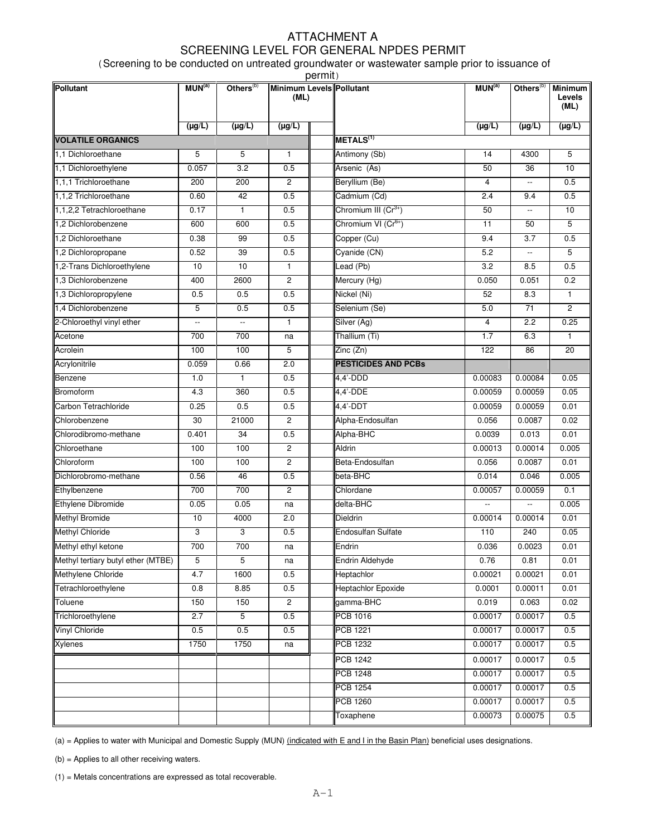## ATTACHMENT A SCREENING LEVEL FOR GENERAL NPDES PERMIT

(Screening to be conducted on untreated groundwater or wastewater sample prior to issuance of permit)

| Pollutant                          | MUN <sup>(a)</sup> | Others <sup>(b)</sup>    | Minimum Levels Pollutant<br>(ML) | , וווווע |                                 | MUN <sup>(a)</sup>      | Others <sup>(b)</sup>    | <b>Minimum</b><br>Levels |
|------------------------------------|--------------------|--------------------------|----------------------------------|----------|---------------------------------|-------------------------|--------------------------|--------------------------|
|                                    |                    |                          |                                  |          |                                 |                         |                          | (ML)                     |
|                                    | $(\mu g/L)$        | $(\mu g/L)$              | $(\mu g/L)$                      |          |                                 | $(\mu g/L)$             | $(\mu g/L)$              | $(\mu g/L)$              |
| <b>VOLATILE ORGANICS</b>           |                    |                          |                                  |          | METALS <sup>(1)</sup>           |                         |                          |                          |
| 1.1 Dichloroethane                 | 5                  | 5                        | 1                                |          | Antimony (Sb)                   | 14                      | 4300                     | 5                        |
| 1,1 Dichloroethylene               | 0.057              | 3.2                      | 0.5                              |          | Arsenic (As)                    | 50                      | 36                       | 10                       |
| 1,1,1 Trichloroethane              | 200                | 200                      | $\overline{2}$                   |          | Beryllium (Be)                  | 4                       | $\overline{\phantom{a}}$ | 0.5                      |
| 1,1,2 Trichloroethane              | 0.60               | 42                       | 0.5                              |          | Cadmium (Cd)                    | 2.4                     | 9.4                      | 0.5                      |
| 1.1.2.2 Tetrachloroethane          | 0.17               | $\mathbf{1}$             | 0.5                              |          | Chromium III $(Cr^{3+})$        | 50                      | $\overline{\phantom{a}}$ | 10                       |
| 1,2 Dichlorobenzene                | 600                | 600                      | 0.5                              |          | Chromium VI (Cr <sup>6+</sup> ) | 11                      | 50                       | 5                        |
| 1,2 Dichloroethane                 | 0.38               | 99                       | 0.5                              |          | Copper (Cu)                     | 9.4                     | $\overline{3.7}$         | 0.5                      |
| 1,2 Dichloropropane                | 0.52               | 39                       | 0.5                              |          | Cyanide (CN)                    | 5.2                     |                          | 5                        |
| 1,2-Trans Dichloroethylene         | 10                 | 10                       | 1                                |          | Lead (Pb)                       | 3.2                     | 8.5                      | 0.5                      |
| 1,3 Dichlorobenzene                | 400                | 2600                     | $\overline{c}$                   |          | Mercury (Hg)                    | 0.050                   | 0.051                    | 0.2                      |
| 1,3 Dichloropropylene              | 0.5                | 0.5                      | 0.5                              |          | Nickel (Ni)                     | 52                      | 8.3                      | $\mathbf{1}$             |
| 1,4 Dichlorobenzene                | 5                  | 0.5                      | 0.5                              |          | Selenium (Se)                   | 5.0                     | $\overline{71}$          | $\overline{2}$           |
| 2-Chloroethyl vinyl ether          | $\overline{a}$     | $\overline{\phantom{a}}$ | 1                                |          | Silver (Ag)                     | $\overline{\mathbf{4}}$ | $\overline{2.2}$         | 0.25                     |
| Acetone                            | 700                | 700                      | na                               |          | Thallium (Ti)                   | 1.7                     | 6.3                      | $\mathbf{1}$             |
| Acrolein                           | 100                | 100                      | 5                                |          | Zinc (Zn)                       | 122                     | 86                       | 20                       |
| Acrylonitrile                      | 0.059              | 0.66                     | 2.0                              |          | <b>PESTICIDES AND PCBs</b>      |                         |                          |                          |
| Benzene                            | 1.0                | $\mathbf{1}$             | 0.5                              |          | $4.4'$ -DDD                     | 0.00083                 | 0.00084                  | 0.05                     |
| Bromoform                          | 4.3                | 360                      | 0.5                              |          | $4,4'$ -DDE                     | 0.00059                 | 0.00059                  | 0.05                     |
| Carbon Tetrachloride               | 0.25               | 0.5                      | 0.5                              |          | $4,4'$ -DDT                     | 0.00059                 | 0.00059                  | 0.01                     |
| Chlorobenzene                      | 30                 | 21000                    | $\mathbf{2}$                     |          | Alpha-Endosulfan                | 0.056                   | 0.0087                   | 0.02                     |
| Chlorodibromo-methane              | 0.401              | 34                       | 0.5                              |          | Alpha-BHC                       | 0.0039                  | 0.013                    | 0.01                     |
| Chloroethane                       | 100                | 100                      | $\overline{c}$                   |          | <b>Aldrin</b>                   | 0.00013                 | 0.00014                  | 0.005                    |
| Chloroform                         | 100                | 100                      | $\overline{2}$                   |          | Beta-Endosulfan                 | 0.056                   | 0.0087                   | 0.01                     |
| Dichlorobromo-methane              | 0.56               | 46                       | 0.5                              |          | beta-BHC                        | 0.014                   | 0.046                    | 0.005                    |
| Ethylbenzene                       | 700                | 700                      | $\mathbf{2}$                     |          | Chlordane                       | 0.00057                 | 0.00059                  | 0.1                      |
| Ethylene Dibromide                 | 0.05               | 0.05                     | na                               |          | delta-BHC                       |                         |                          | 0.005                    |
| <b>Methyl Bromide</b>              | 10                 | 4000                     | 2.0                              |          | <b>Dieldrin</b>                 | 0.00014                 | 0.00014                  | 0.01                     |
| <b>Methyl Chloride</b>             | 3                  | 3                        | 0.5                              |          | <b>Endosulfan Sulfate</b>       | 110                     | 240                      | 0.05                     |
| Methyl ethyl ketone                | 700                | 700                      | na                               |          | Endrin                          | 0.036                   | 0.0023                   | 0.01                     |
| Methyl tertiary butyl ether (MTBE) | 5                  | 5                        | na                               |          | Endrin Aldehyde                 | 0.76                    | 0.81                     | 0.01                     |
| Methylene Chloride                 | 4.7                | 1600                     | 0.5                              |          | Heptachlor                      | 0.00021                 | 0.00021                  | 0.01                     |
| Tetrachloroethylene                | 0.8                | 8.85                     | 0.5                              |          | <b>Heptachlor Epoxide</b>       | 0.0001                  | 0.00011                  | 0.01                     |
| Toluene                            | 150                | 150                      | $\overline{c}$                   |          | gamma-BHC                       | 0.019                   | 0.063                    | 0.02                     |
| Trichloroethylene                  | 2.7                | 5                        | 0.5                              |          | <b>PCB 1016</b>                 | 0.00017                 | 0.00017                  | 0.5                      |
| Vinyl Chloride                     | 0.5                | 0.5                      | 0.5                              |          | <b>PCB 1221</b>                 | 0.00017                 | 0.00017                  | 0.5                      |
| <b>Xylenes</b>                     | 1750               | 1750                     | na                               |          | <b>PCB 1232</b>                 | 0.00017                 | 0.00017                  | 0.5                      |
|                                    |                    |                          |                                  |          | <b>PCB 1242</b>                 | 0.00017                 | 0.00017                  | 0.5                      |
|                                    |                    |                          |                                  |          | <b>PCB 1248</b>                 | 0.00017                 | 0.00017                  | 0.5                      |
|                                    |                    |                          |                                  |          | <b>PCB 1254</b>                 | 0.00017                 | 0.00017                  | 0.5                      |
|                                    |                    |                          |                                  |          | <b>PCB 1260</b>                 | 0.00017                 | 0.00017                  | 0.5                      |
|                                    |                    |                          |                                  |          | Toxaphene                       | 0.00073                 | 0.00075                  | 0.5                      |
|                                    |                    |                          |                                  |          |                                 |                         |                          |                          |

(a) = Applies to water with Municipal and Domestic Supply (MUN) (indicated with E and I in the Basin Plan) beneficial uses designations.

(b) = Applies to all other receiving waters.

(1) = Metals concentrations are expressed as total recoverable.